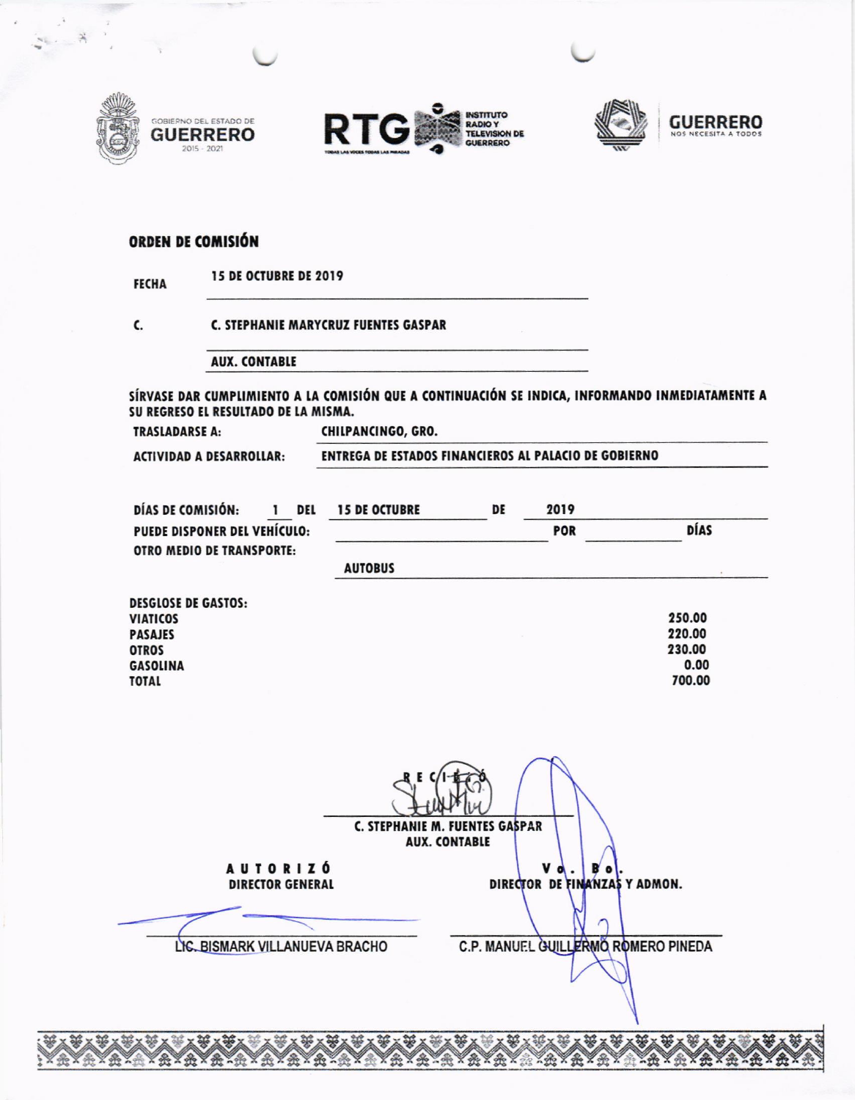





700.00

## ORDEN DE COMISIÓN

| <b>FECHA</b> |
|--------------|
|--------------|

C.

**TOTAL** 

C. STEPHANIE MARYCRUZ FUENTES GASPAR

**AUX. CONTABLE** 

SÍRVASE DAR CUMPLIMIENTO A LA COMISIÓN QUE A CONTINUACIÓN SE INDICA, INFORMANDO INMEDIATAMENTE A SU REGRESO EL RESULTADO DE LA MISMA.

**TRASLADARSE A:** 

CHILPANCINGO, GRO.

**ACTIVIDAD A DESARROLLAR:** 

ENTREGA DE ESTADOS FINANCIEROS AL PALACIO DE GOBIERNO

| DÍAS DE COMISIÓN:                | <b>DEL</b> | <b>15 DE OCTUBRE</b> | DE | 2019       |        |
|----------------------------------|------------|----------------------|----|------------|--------|
| PUEDE DISPONER DEL VEHÍCULO:     |            |                      |    | <b>POR</b> | DÍAS   |
| <b>OTRO MEDIO DE TRANSPORTE:</b> |            |                      |    |            |        |
|                                  |            | <b>AUTOBUS</b>       |    |            |        |
| <b>DESGLOSE DE GASTOS:</b>       |            |                      |    |            |        |
| VIATICOS                         |            |                      |    |            | 250.00 |
| <b>PASAJES</b>                   |            |                      |    |            | 220.00 |
| <b>OTROS</b>                     |            |                      |    |            | 230.00 |
| <b>GASOLINA</b>                  |            |                      |    |            | 0.00   |

|                                            | C. STEPHANIE M. FUENTES GASPAR<br><b>AUX. CONTABLE</b> |
|--------------------------------------------|--------------------------------------------------------|
| <b>AUTORIZÓ</b><br><b>DIRECTOR GENERAL</b> | v<br>в<br>$\bullet$<br>DIRECTOR DE FINANZAS Y ADMON.   |
| LIC. BISMARK VILLANUEVA BRACHO             | C.P. MANUEL GUILLERMO ROMERO PINEDA                    |
|                                            |                                                        |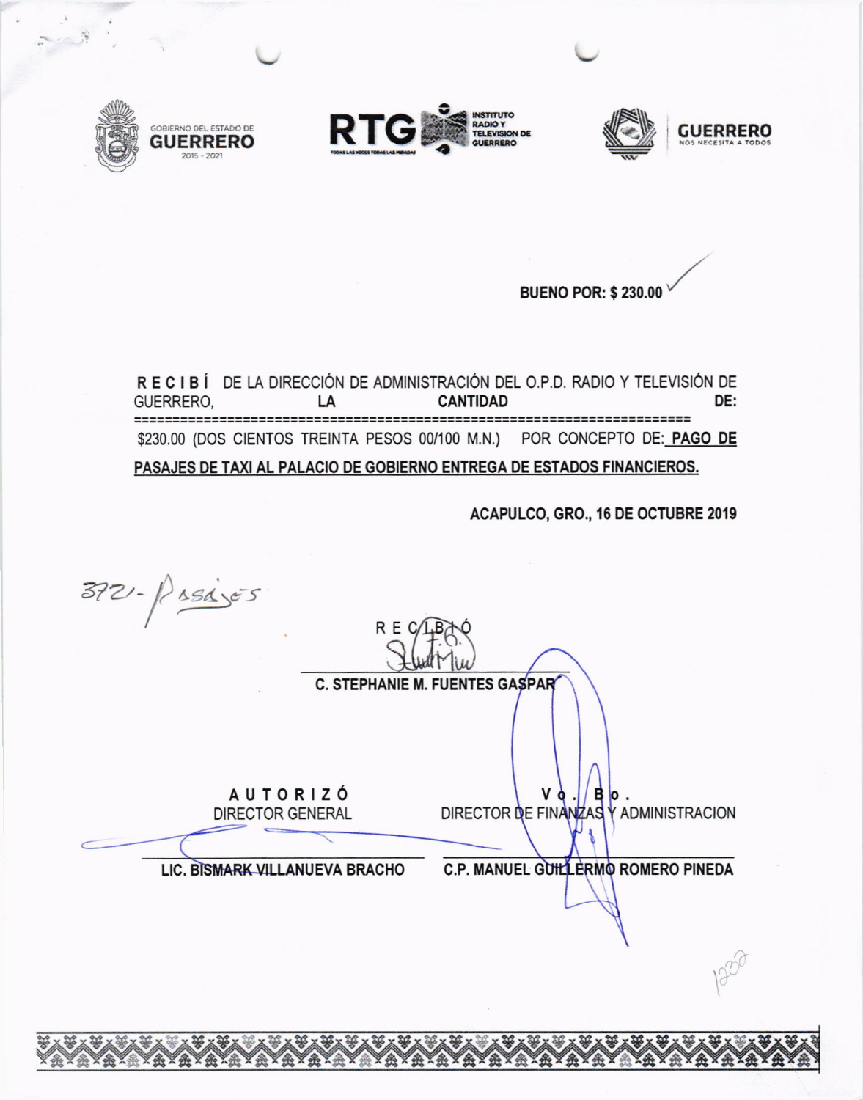

**SOBIERNO DEL ESTADO DE** 

**GUERRERO** 







BUENO POR: \$ 230.00

RECIBÍ DE LA DIRECCIÓN DE ADMINISTRACIÓN DEL O.P.D. RADIO Y TELEVISIÓN DE **CANTIDAD** DE: GUERRERO. LA ========================== \$230.00 (DOS CIENTOS TREINTA PESOS 00/100 M.N.) POR CONCEPTO DE: PAGO DE PASAJES DE TAXI AL PALACIO DE GOBIERNO ENTREGA DE ESTADOS FINANCIEROS.

ACAPULCO, GRO., 16 DE OCTUBRE 2019

 $372 - 184565$ R E C **C. STEPHANIE M. FUENTES GASPAR AUTORIZÓ** Vd DIRECTOR DE FINANZAS **DIRECTOR GENERAL** Y ADMINISTRACION C.P. MANUEL GUILLERMO ROMERO PINEDA LIC. BISMARK VILLANUEVA BRACHO